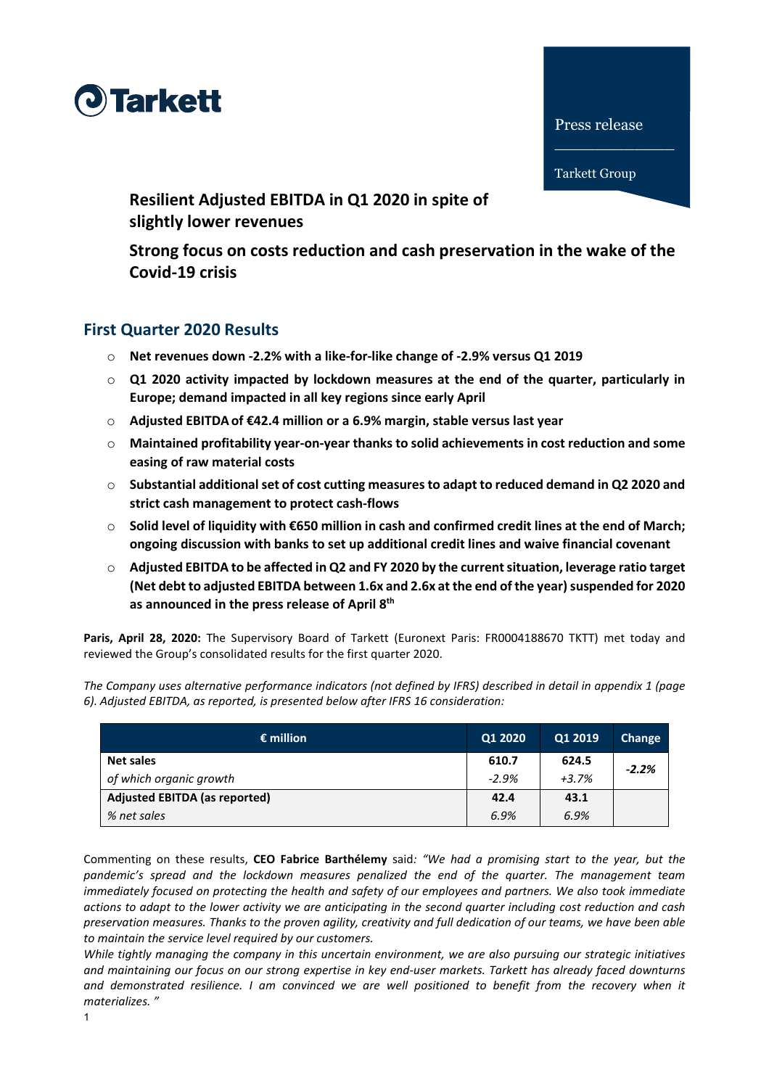



**Resilient Adjusted EBITDA in Q1 2020 in spite of slightly lower revenues** 

**Strong focus on costs reduction and cash preservation in the wake of the Covid-19 crisis**

# **First Quarter 2020 Results**

- o **Net revenues down -2.2% with a like-for-like change of -2.9% versus Q1 2019**
- o **Q1 2020 activity impacted by lockdown measures at the end of the quarter, particularly in Europe; demand impacted in all key regions since early April**
- o **Adjusted EBITDAof €42.4 million or a 6.9% margin, stable versus last year**
- o **Maintained profitability year-on-year thanks to solid achievements in cost reduction and some easing of raw material costs**
- o **Substantial additional set of cost cutting measures to adapt to reduced demand in Q2 2020 and strict cash management to protect cash-flows**
- o **Solid level of liquidity with €650 million in cash and confirmed credit lines at the end of March; ongoing discussion with banks to set up additional credit lines and waive financial covenant**
- o **Adjusted EBITDA to be affected in Q2 and FY 2020 by the current situation, leverage ratio target (Net debt to adjusted EBITDA between 1.6x and 2.6x at the end of the year) suspended for 2020 as announced in the press release of April 8th**

**Paris, April 28, 2020:** The Supervisory Board of Tarkett (Euronext Paris: FR0004188670 TKTT) met today and reviewed the Group's consolidated results for the first quarter 2020.

*The Company uses alternative performance indicators (not defined by IFRS) described in detail in appendix 1 (page 6). Adjusted EBITDA, as reported, is presented below after IFRS 16 consideration:*

| $\epsilon$ million                   | Q1 2020 | Q1 2019 | Change  |
|--------------------------------------|---------|---------|---------|
| <b>Net sales</b>                     | 610.7   | 624.5   | $-2.2%$ |
| of which organic growth              | $-2.9%$ | $+3.7%$ |         |
| <b>Adjusted EBITDA (as reported)</b> | 42.4    | 43.1    |         |
| % net sales                          | 6.9%    | 6.9%    |         |

Commenting on these results, **CEO Fabrice Barthélemy** said*: "We had a promising start to the year, but the pandemic's spread and the lockdown measures penalized the end of the quarter. The management team immediately focused on protecting the health and safety of our employees and partners. We also took immediate actions to adapt to the lower activity we are anticipating in the second quarter including cost reduction and cash preservation measures. Thanks to the proven agility, creativity and full dedication of our teams, we have been able to maintain the service level required by our customers.* 

*While tightly managing the company in this uncertain environment, we are also pursuing our strategic initiatives and maintaining our focus on our strong expertise in key end-user markets. Tarkett has already faced downturns and demonstrated resilience. I am convinced we are well positioned to benefit from the recovery when it materializes. "*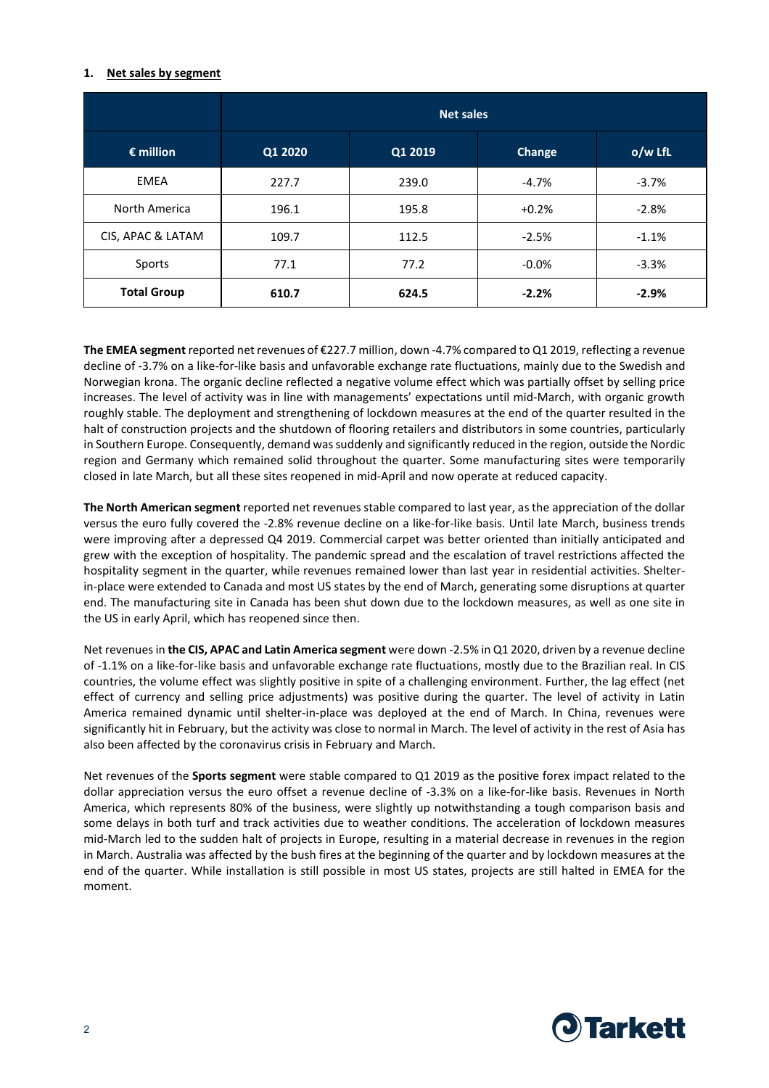#### **1. Net sales by segment**

|                    | <b>Net sales</b> |         |         |         |
|--------------------|------------------|---------|---------|---------|
| $\epsilon$ million | Q1 2020          | Q1 2019 | Change  | o/w LfL |
| <b>EMEA</b>        | 227.7            | 239.0   | $-4.7%$ | $-3.7%$ |
| North America      | 196.1            | 195.8   | $+0.2%$ | $-2.8%$ |
| CIS, APAC & LATAM  | 109.7            | 112.5   | $-2.5%$ | $-1.1%$ |
| Sports             | 77.1             | 77.2    | $-0.0%$ | $-3.3%$ |
| <b>Total Group</b> | 610.7            | 624.5   | $-2.2%$ | $-2.9%$ |

**The EMEA segment** reported net revenues of €227.7 million, down -4.7% compared to Q1 2019, reflecting a revenue decline of -3.7% on a like-for-like basis and unfavorable exchange rate fluctuations, mainly due to the Swedish and Norwegian krona. The organic decline reflected a negative volume effect which was partially offset by selling price increases. The level of activity was in line with managements' expectations until mid-March, with organic growth roughly stable. The deployment and strengthening of lockdown measures at the end of the quarter resulted in the halt of construction projects and the shutdown of flooring retailers and distributors in some countries, particularly in Southern Europe. Consequently, demand was suddenly and significantly reduced in the region, outside the Nordic region and Germany which remained solid throughout the quarter. Some manufacturing sites were temporarily closed in late March, but all these sites reopened in mid-April and now operate at reduced capacity.

**The North American segment** reported net revenues stable compared to last year, as the appreciation of the dollar versus the euro fully covered the -2.8% revenue decline on a like-for-like basis. Until late March, business trends were improving after a depressed Q4 2019. Commercial carpet was better oriented than initially anticipated and grew with the exception of hospitality. The pandemic spread and the escalation of travel restrictions affected the hospitality segment in the quarter, while revenues remained lower than last year in residential activities. Shelterin-place were extended to Canada and most US states by the end of March, generating some disruptions at quarter end. The manufacturing site in Canada has been shut down due to the lockdown measures, as well as one site in the US in early April, which has reopened since then.

Net revenues in **the CIS, APAC and Latin America segment** were down -2.5% in Q1 2020, driven by a revenue decline of -1.1% on a like-for-like basis and unfavorable exchange rate fluctuations, mostly due to the Brazilian real. In CIS countries, the volume effect was slightly positive in spite of a challenging environment. Further, the lag effect (net effect of currency and selling price adjustments) was positive during the quarter. The level of activity in Latin America remained dynamic until shelter-in-place was deployed at the end of March. In China, revenues were significantly hit in February, but the activity was close to normal in March. The level of activity in the rest of Asia has also been affected by the coronavirus crisis in February and March.

Net revenues of the **Sports segment** were stable compared to Q1 2019 as the positive forex impact related to the dollar appreciation versus the euro offset a revenue decline of -3.3% on a like-for-like basis. Revenues in North America, which represents 80% of the business, were slightly up notwithstanding a tough comparison basis and some delays in both turf and track activities due to weather conditions. The acceleration of lockdown measures mid-March led to the sudden halt of projects in Europe, resulting in a material decrease in revenues in the region in March. Australia was affected by the bush fires at the beginning of the quarter and by lockdown measures at the end of the quarter. While installation is still possible in most US states, projects are still halted in EMEA for the moment.

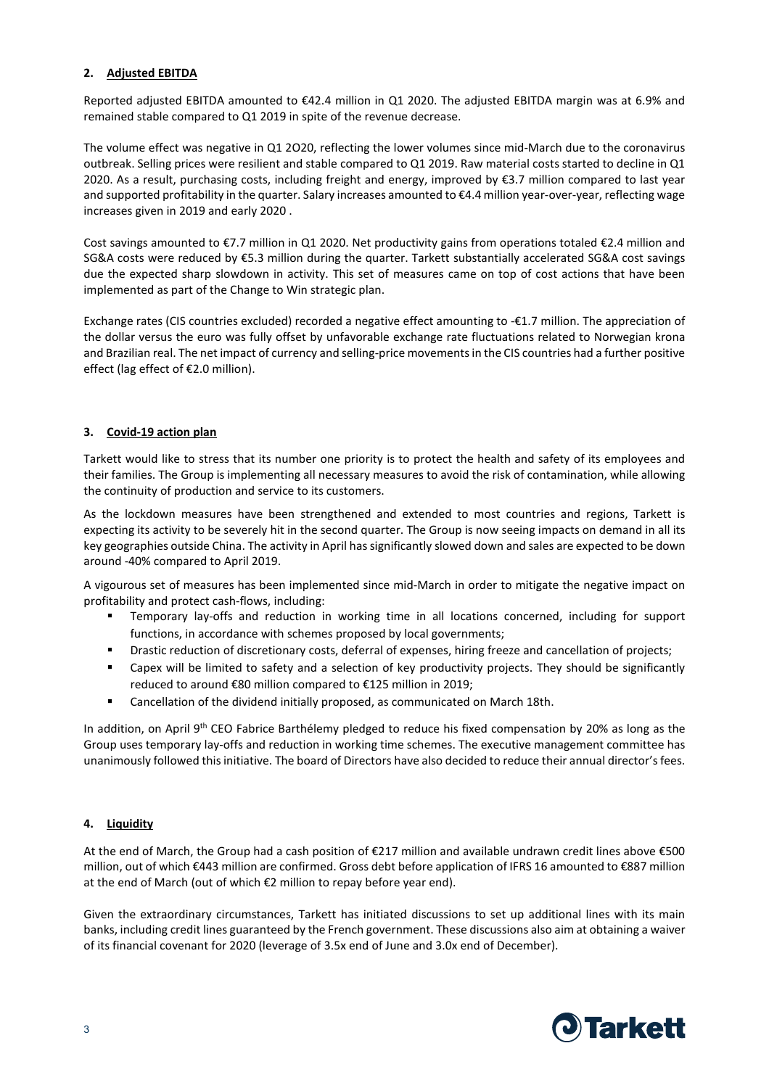# **2. Adjusted EBITDA**

Reported adjusted EBITDA amounted to €42.4 million in Q1 2020. The adjusted EBITDA margin was at 6.9% and remained stable compared to Q1 2019 in spite of the revenue decrease.

The volume effect was negative in Q1 2O20, reflecting the lower volumes since mid-March due to the coronavirus outbreak. Selling prices were resilient and stable compared to Q1 2019. Raw material costs started to decline in Q1 2020. As a result, purchasing costs, including freight and energy, improved by €3.7 million compared to last year and supported profitability in the quarter. Salary increases amounted to €4.4 million year-over-year, reflecting wage increases given in 2019 and early 2020 .

Cost savings amounted to €7.7 million in Q1 2020. Net productivity gains from operations totaled €2.4 million and SG&A costs were reduced by €5.3 million during the quarter. Tarkett substantially accelerated SG&A cost savings due the expected sharp slowdown in activity. This set of measures came on top of cost actions that have been implemented as part of the Change to Win strategic plan.

Exchange rates (CIS countries excluded) recorded a negative effect amounting to -€1.7 million. The appreciation of the dollar versus the euro was fully offset by unfavorable exchange rate fluctuations related to Norwegian krona and Brazilian real. The net impact of currency and selling-price movements in the CIS countries had a further positive effect (lag effect of €2.0 million).

# **3. Covid-19 action plan**

Tarkett would like to stress that its number one priority is to protect the health and safety of its employees and their families. The Group is implementing all necessary measures to avoid the risk of contamination, while allowing the continuity of production and service to its customers.

As the lockdown measures have been strengthened and extended to most countries and regions, Tarkett is expecting its activity to be severely hit in the second quarter. The Group is now seeing impacts on demand in all its key geographies outside China. The activity in April has significantly slowed down and sales are expected to be down around -40% compared to April 2019.

A vigourous set of measures has been implemented since mid-March in order to mitigate the negative impact on profitability and protect cash-flows, including:

- Temporary lay-offs and reduction in working time in all locations concerned, including for support functions, in accordance with schemes proposed by local governments;
- Drastic reduction of discretionary costs, deferral of expenses, hiring freeze and cancellation of projects;
- Capex will be limited to safety and a selection of key productivity projects. They should be significantly reduced to around €80 million compared to €125 million in 2019;
- **EXEC** Cancellation of the dividend initially proposed, as communicated on March 18th.

In addition, on April 9<sup>th</sup> CEO Fabrice Barthélemy pledged to reduce his fixed compensation by 20% as long as the Group uses temporary lay-offs and reduction in working time schemes. The executive management committee has unanimously followed this initiative. The board of Directors have also decided to reduce their annual director's fees.

# **4. Liquidity**

At the end of March, the Group had a cash position of €217 million and available undrawn credit lines above €500 million, out of which €443 million are confirmed. Gross debt before application of IFRS 16 amounted to €887 million at the end of March (out of which €2 million to repay before year end).

Given the extraordinary circumstances, Tarkett has initiated discussions to set up additional lines with its main banks, including credit lines guaranteed by the French government. These discussions also aim at obtaining a waiver of its financial covenant for 2020 (leverage of 3.5x end of June and 3.0x end of December).

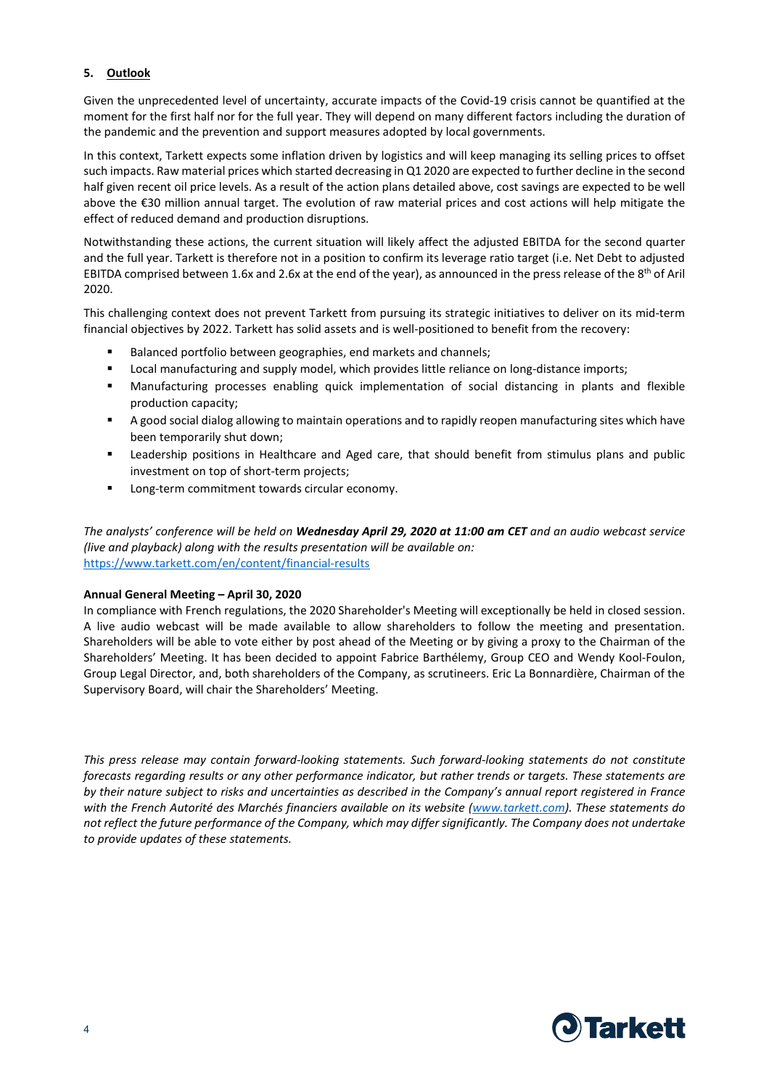# **5. Outlook**

Given the unprecedented level of uncertainty, accurate impacts of the Covid-19 crisis cannot be quantified at the moment for the first half nor for the full year. They will depend on many different factors including the duration of the pandemic and the prevention and support measures adopted by local governments.

In this context, Tarkett expects some inflation driven by logistics and will keep managing its selling prices to offset such impacts. Raw material prices which started decreasing in Q1 2020 are expected to further decline in the second half given recent oil price levels. As a result of the action plans detailed above, cost savings are expected to be well above the €30 million annual target. The evolution of raw material prices and cost actions will help mitigate the effect of reduced demand and production disruptions.

Notwithstanding these actions, the current situation will likely affect the adjusted EBITDA for the second quarter and the full year. Tarkett is therefore not in a position to confirm its leverage ratio target (i.e. Net Debt to adjusted EBITDA comprised between 1.6x and 2.6x at the end of the year), as announced in the press release of the 8<sup>th</sup> of Aril 2020.

This challenging context does not prevent Tarkett from pursuing its strategic initiatives to deliver on its mid-term financial objectives by 2022. Tarkett has solid assets and is well-positioned to benefit from the recovery:

- Balanced portfolio between geographies, end markets and channels;
- **EXEDENT Manufacturing and supply model, which provides little reliance on long-distance imports;**
- Manufacturing processes enabling quick implementation of social distancing in plants and flexible production capacity;
- A good social dialog allowing to maintain operations and to rapidly reopen manufacturing sites which have been temporarily shut down;
- Leadership positions in Healthcare and Aged care, that should benefit from stimulus plans and public investment on top of short-term projects;
- **Long-term commitment towards circular economy.**

*The analysts' conference will be held on Wednesday April 29, 2020 at 11:00 am CET and an audio webcast service (live and playback) along with the results presentation will be available on:*  <https://www.tarkett.com/en/content/financial-results>

#### **Annual General Meeting – April 30, 2020**

In compliance with French regulations, the 2020 Shareholder's Meeting will exceptionally be held in closed session. A live audio webcast will be made available to allow shareholders to follow the meeting and presentation. Shareholders will be able to vote either by post ahead of the Meeting or by giving a proxy to the Chairman of the Shareholders' Meeting. It has been decided to appoint Fabrice Barthélemy, Group CEO and Wendy Kool-Foulon, Group Legal Director, and, both shareholders of the Company, as scrutineers. Eric La Bonnardière, Chairman of the Supervisory Board, will chair the Shareholders' Meeting.

*This press release may contain forward-looking statements. Such forward-looking statements do not constitute forecasts regarding results or any other performance indicator, but rather trends or targets. These statements are by their nature subject to risks and uncertainties as described in the Company's annual report registered in France with the French Autorité des Marchés financiers available on its website [\(www.tarkett.com\)](http://www.tarkett.com/). These statements do not reflect the future performance of the Company, which may differ significantly. The Company does not undertake to provide updates of these statements.*

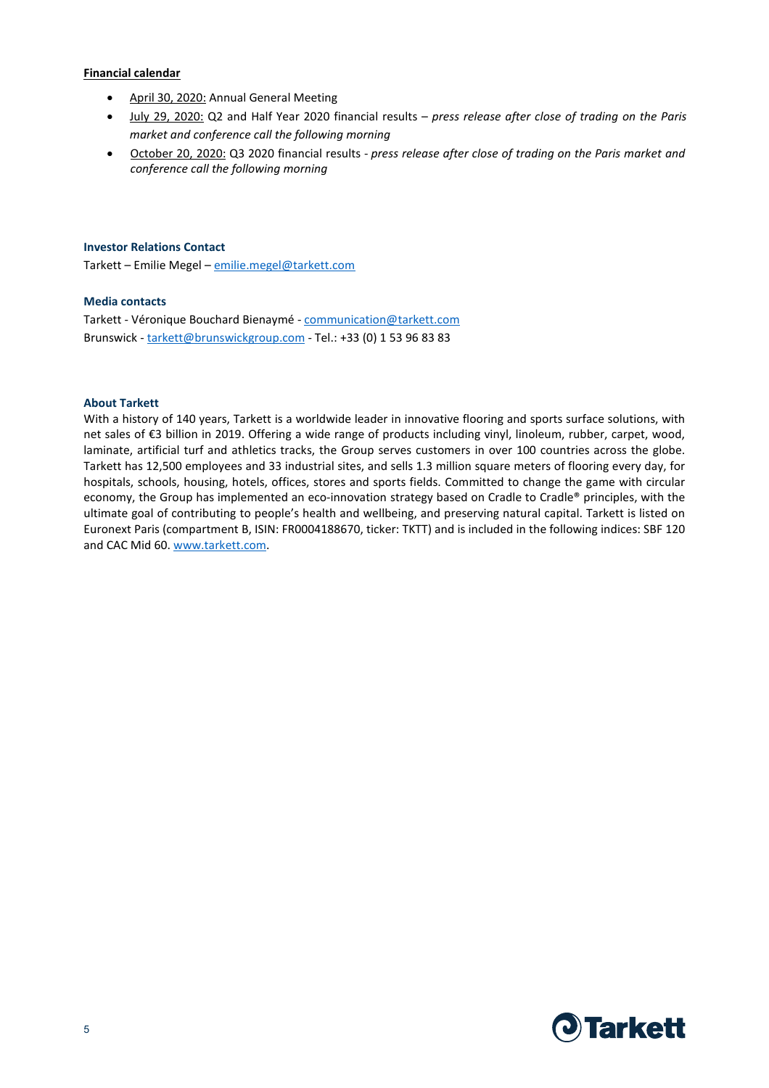#### **Financial calendar**

- April 30, 2020: Annual General Meeting
- July 29, 2020: Q2 and Half Year 2020 financial results *press release after close of trading on the Paris market and conference call the following morning*
- October 20, 2020: Q3 2020 financial results *press release after close of trading on the Paris market and conference call the following morning*

#### **Investor Relations Contact**

Tarkett – Emilie Megel – [emilie.megel@tarkett.com](mailto:emilie.megel@tarkett.com)

### **Media contacts**

Tarkett - Véronique Bouchard Bienaymé - [communication@tarkett.com](mailto:communication@tarkett.com) Brunswick - [tarkett@brunswickgroup.com](mailto:tarkett@brunswickgroup.com) - Tel.: +33 (0) 1 53 96 83 83

### **About Tarkett**

With a history of 140 years, Tarkett is a worldwide leader in innovative flooring and sports surface solutions, with net sales of €3 billion in 2019. Offering a wide range of products including vinyl, linoleum, rubber, carpet, wood, laminate, artificial turf and athletics tracks, the Group serves customers in over 100 countries across the globe. Tarkett has 12,500 employees and 33 industrial sites, and sells 1.3 million square meters of flooring every day, for hospitals, schools, housing, hotels, offices, stores and sports fields. Committed to change the game with circular economy, the Group has implemented an eco-innovation strategy based on Cradle to Cradle® principles, with the ultimate goal of contributing to people's health and wellbeing, and preserving natural capital. Tarkett is listed on Euronext Paris (compartment B, ISIN: FR0004188670, ticker: TKTT) and is included in the following indices: SBF 120 and CAC Mid 60. [www.tarkett.com.](http://www.tarkett.com/)